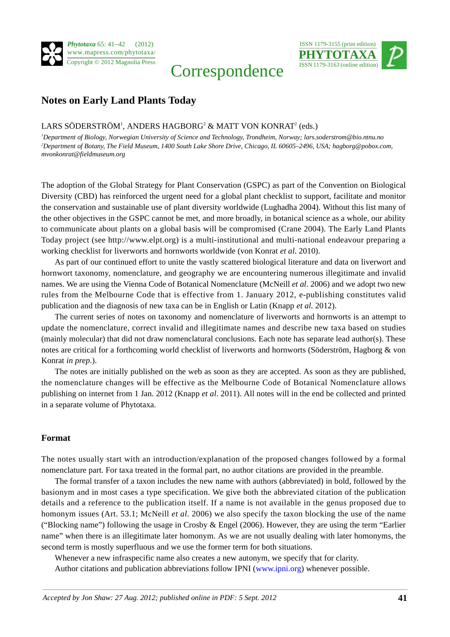

# Correspondence



# **Notes on Early Land Plants Today**

### LARS SÖDERSTRÖM $^{\rm l}$ , ANDERS HAGBORG $^{\rm 2}$  & MATT VON KONRAT $^{\rm 2}$  (eds.)

*1 Department of Biology, Norwegian University of Science and Technology, Trondheim, Norway; lars.soderstrom@bio.ntnu.no 2 Department of Botany, The Field Museum, 1400 South Lake Shore Drive, Chicago, IL 60605–2496, USA; hagborg@pobox.com, mvonkonrat@fieldmuseum.org*

The adoption of the Global Strategy for Plant Conservation (GSPC) as part of the Convention on Biological Diversity (CBD) has reinforced the urgent need for a global plant checklist to support, facilitate and monitor the conservation and sustainable use of plant diversity worldwide (Lughadha 2004). Without this list many of the other objectives in the GSPC cannot be met, and more broadly, in botanical science as a whole, our ability to communicate about plants on a global basis will be compromised (Crane 2004). The Early Land Plants Today project (see http://www.elpt.org) is a multi-institutional and multi-national endeavour preparing a working checklist for liverworts and hornworts worldwide (von Konrat *et al*. 2010).

As part of our continued effort to unite the vastly scattered biological literature and data on liverwort and hornwort taxonomy, nomenclature, and geography we are encountering numerous illegitimate and invalid names. We are using the Vienna Code of Botanical Nomenclature (McNeill *et al*. 2006) and we adopt two new rules from the Melbourne Code that is effective from 1. January 2012, e-publishing constitutes valid publication and the diagnosis of new taxa can be in English or Latin (Knapp *et al.* 2012).

The current series of notes on taxonomy and nomenclature of liverworts and hornworts is an attempt to update the nomenclature, correct invalid and illegitimate names and describe new taxa based on studies (mainly molecular) that did not draw nomenclatural conclusions. Each note has separate lead author(s). These notes are critical for a forthcoming world checklist of liverworts and hornworts (Söderström, Hagborg & von Konrat *in prep*.).

The notes are initially published on the web as soon as they are accepted. As soon as they are published, the nomenclature changes will be effective as the Melbourne Code of Botanical Nomenclature allows publishing on internet from 1 Jan. 2012 (Knapp *et al*. 2011). All notes will in the end be collected and printed in a separate volume of Phytotaxa.

#### **Format**

The notes usually start with an introduction/explanation of the proposed changes followed by a formal nomenclature part. For taxa treated in the formal part, no author citations are provided in the preamble.

The formal transfer of a taxon includes the new name with authors (abbreviated) in bold, followed by the basionym and in most cases a type specification. We give both the abbreviated citation of the publication details and a reference to the publication itself. If a name is not available in the genus proposed due to homonym issues (Art. 53.1; McNeill *et al.* 2006) we also specify the taxon blocking the use of the name ("Blocking name") following the usage in Crosby & Engel (2006). However, they are using the term "Earlier name" when there is an illegitimate later homonym. As we are not usually dealing with later homonyms, the second term is mostly superfluous and we use the former term for both situations.

Whenever a new infraspecific name also creates a new autonym, we specify that for clarity.

Author citations and publication abbreviations follow IPNI [\(www.ipni.org](http://www.ipni.org)) whenever possible.